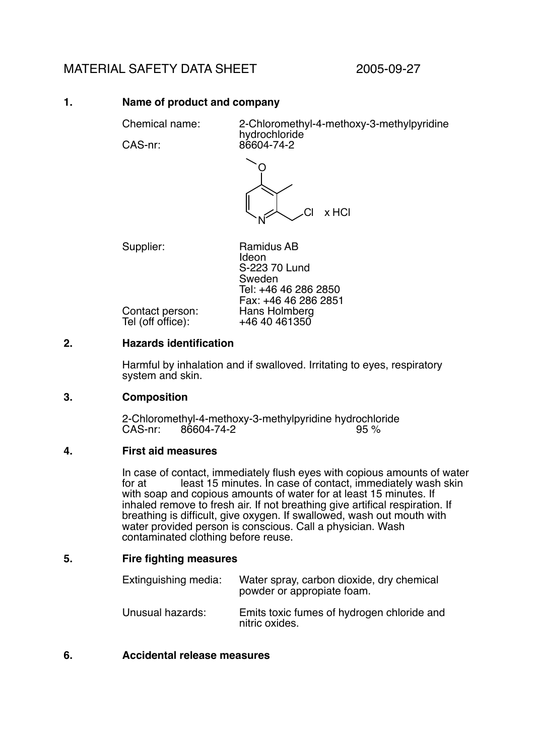# MATERIAL SAFETY DATA SHEET 2005-09-27

# **1. Name of product and company**

Chemical name: 2-Chloromethyl-4-methoxy-3-methylpyridine hydrochloride

CAS-nr: 86604-74-2



Supplier: Ramidus AB Ideon S-223 70 Lund Sweden Tel: +46 46 286 2850 Fax: +46 46 286 2851 Contact person: Hans Holmberg<br>Tel (off office): +46 40 461350

# **2. Hazards identification**

Tel (off office):

Harmful by inhalation and if swalloved. Irritating to eyes, respiratory system and skin.

### **3. Composition**

2-Chloromethyl-4-methoxy-3-methylpyridine hydrochloride<br>CAS-nr: 86604-74-2<br>% 95% 86604-74-2

### **4. First aid measures**

In case of contact, immediately flush eyes with copious amounts of water<br>for at least 15 minutes. In case of contact, immediately wash skin Fract, immediately habit syes will copious amounts of water least 15 minutes. In case of contact, immediately wash skin with soap and copious amounts of water for at least 15 minutes. If inhaled remove to fresh air. If not breathing give artifical respiration. If breathing is difficult, give oxygen. If swallowed, wash out mouth with water provided person is conscious. Call a physician. Wash contaminated clothing before reuse.

### **5. Fire fighting measures**

| Extinguishing media: | Water spray, carbon dioxide, dry chemical<br>powder or appropiate foam. |
|----------------------|-------------------------------------------------------------------------|
| Unusual hazards:     | Emits toxic fumes of hydrogen chloride and<br>nitric oxides.            |

### **6. Accidental release measures**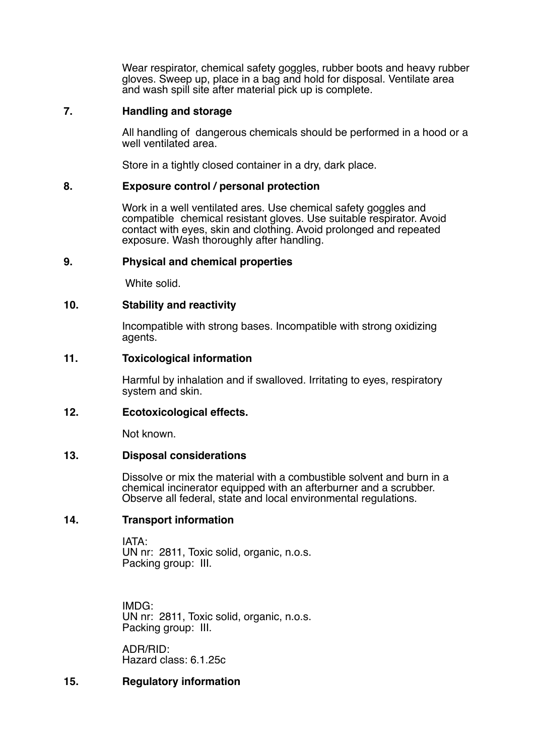Wear respirator, chemical safety goggles, rubber boots and heavy rubber gloves. Sweep up, place in a bag and hold for disposal. Ventilate area and wash spill site after material pick up is complete.

### **7. Handling and storage**

All handling of dangerous chemicals should be performed in a hood or a well ventilated area.

Store in a tightly closed container in a dry, dark place.

#### **8. Exposure control / personal protection**

Work in a well ventilated ares. Use chemical safety goggles and compatible chemical resistant gloves. Use suitable respirator. Avoid contact with eyes, skin and clothing. Avoid prolonged and repeated exposure. Wash thoroughly after handling.

### **9. Physical and chemical properties**

White solid.

### **10. Stability and reactivity**

Incompatible with strong bases. Incompatible with strong oxidizing agents.

#### **11. Toxicological information**

Harmful by inhalation and if swalloved. Irritating to eyes, respiratory system and skin.

### **12. Ecotoxicological effects.**

Not known.

#### **13. Disposal considerations**

Dissolve or mix the material with a combustible solvent and burn in a chemical incinerator equipped with an afterburner and a scrubber. Observe all federal, state and local environmental regulations.

### **14. Transport information**

IATA: UN nr: 2811, Toxic solid, organic, n.o.s. Packing group: III.

IMDG: UN nr: 2811, Toxic solid, organic, n.o.s. Packing group: III.

ADR/RID: Hazard class: 6.1.25c

### **15. Regulatory information**